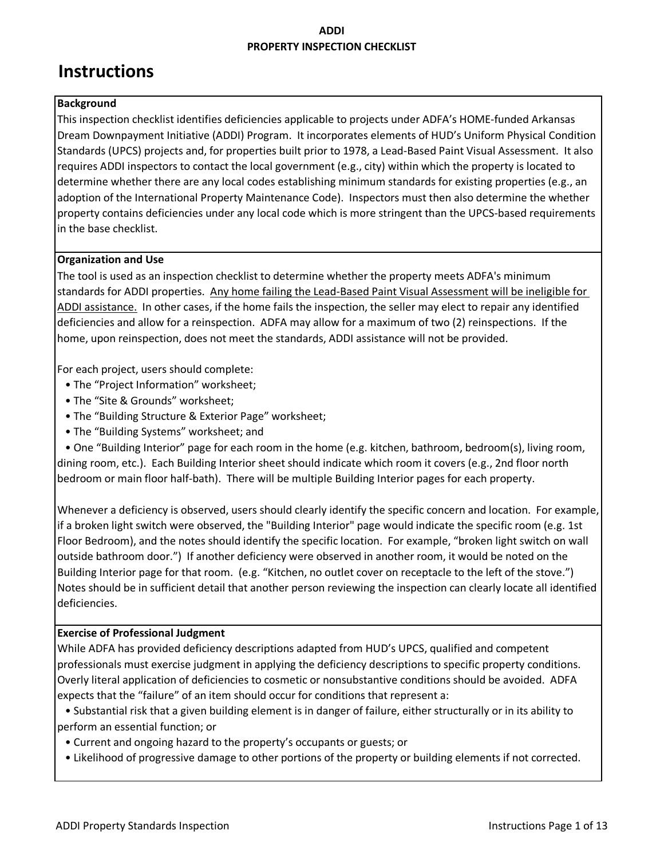# **Instructions**

### **Background**

This inspection checklist identifies deficiencies applicable to projects under ADFA's HOME-funded Arkansas Dream Downpayment Initiative (ADDI) Program. It incorporates elements of HUD's Uniform Physical Condition Standards (UPCS) projects and, for properties built prior to 1978, a Lead-Based Paint Visual Assessment. It also requires ADDI inspectors to contact the local government (e.g., city) within which the property is located to determine whether there are any local codes establishing minimum standards for existing properties (e.g., an adoption of the International Property Maintenance Code). Inspectors must then also determine the whether property contains deficiencies under any local code which is more stringent than the UPCS-based requirements in the base checklist.

### **Organization and Use**

The tool is used as an inspection checklist to determine whether the property meets ADFA's minimum standards for ADDI properties. Any home failing the Lead-Based Paint Visual Assessment will be ineligible for ADDI assistance. In other cases, if the home fails the inspection, the seller may elect to repair any identified deficiencies and allow for a reinspection. ADFA may allow for a maximum of two (2) reinspections. If the home, upon reinspection, does not meet the standards, ADDI assistance will not be provided.

For each project, users should complete:

- The "Project Information" worksheet;
- The "Site & Grounds" worksheet;
- The "Building Structure & Exterior Page" worksheet;
- The "Building Systems" worksheet; and

 • One "Building Interior" page for each room in the home (e.g. kitchen, bathroom, bedroom(s), living room, dining room, etc.). Each Building Interior sheet should indicate which room it covers (e.g., 2nd floor north bedroom or main floor half-bath). There will be multiple Building Interior pages for each property.

Whenever a deficiency is observed, users should clearly identify the specific concern and location. For example, if a broken light switch were observed, the "Building Interior" page would indicate the specific room (e.g. 1st Floor Bedroom), and the notes should identify the specific location. For example, "broken light switch on wall outside bathroom door.") If another deficiency were observed in another room, it would be noted on the Building Interior page for that room. (e.g. "Kitchen, no outlet cover on receptacle to the left of the stove.") Notes should be in sufficient detail that another person reviewing the inspection can clearly locate all identified deficiencies.

#### **Exercise of Professional Judgment**

While ADFA has provided deficiency descriptions adapted from HUD's UPCS, qualified and competent professionals must exercise judgment in applying the deficiency descriptions to specific property conditions. Overly literal application of deficiencies to cosmetic or nonsubstantive conditions should be avoided. ADFA expects that the "failure" of an item should occur for conditions that represent a:

 • Substantial risk that a given building element is in danger of failure, either structurally or in its ability to perform an essential function; or

- Current and ongoing hazard to the property's occupants or guests; or
- Likelihood of progressive damage to other portions of the property or building elements if not corrected.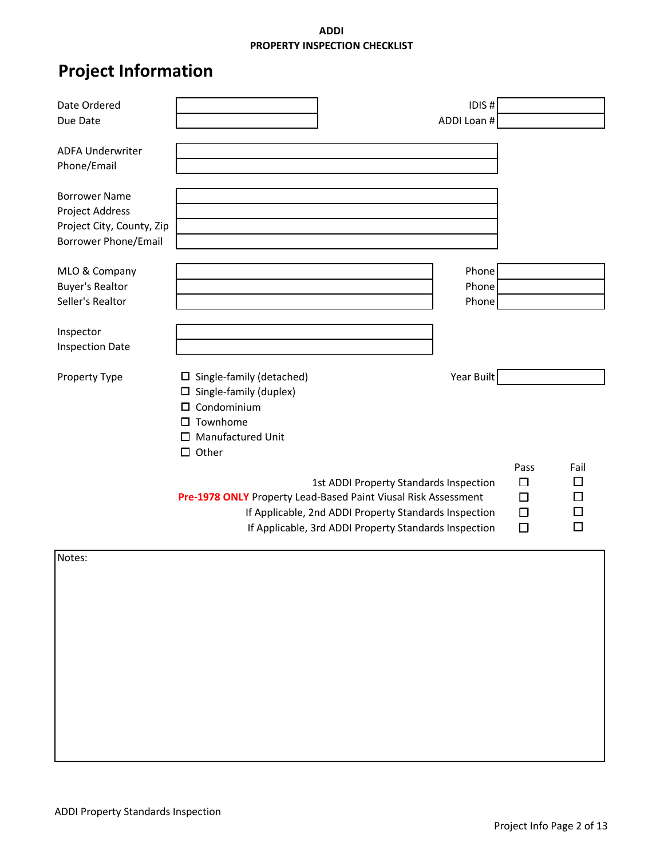# **Project Information**

| Date Ordered                |                                                                |                                                       | IDIS#      |        |      |
|-----------------------------|----------------------------------------------------------------|-------------------------------------------------------|------------|--------|------|
| Due Date                    |                                                                | ADDI Loan #                                           |            |        |      |
|                             |                                                                |                                                       |            |        |      |
| <b>ADFA Underwriter</b>     |                                                                |                                                       |            |        |      |
| Phone/Email                 |                                                                |                                                       |            |        |      |
|                             |                                                                |                                                       |            |        |      |
| <b>Borrower Name</b>        |                                                                |                                                       |            |        |      |
| Project Address             |                                                                |                                                       |            |        |      |
| Project City, County, Zip   |                                                                |                                                       |            |        |      |
| <b>Borrower Phone/Email</b> |                                                                |                                                       |            |        |      |
|                             |                                                                |                                                       | Phone      |        |      |
| MLO & Company               |                                                                |                                                       | Phone      |        |      |
| <b>Buyer's Realtor</b>      |                                                                |                                                       |            |        |      |
| Seller's Realtor            |                                                                |                                                       | Phone      |        |      |
|                             |                                                                |                                                       |            |        |      |
| Inspector                   |                                                                |                                                       |            |        |      |
| <b>Inspection Date</b>      |                                                                |                                                       |            |        |      |
| Property Type               | $\Box$ Single-family (detached)                                |                                                       | Year Built |        |      |
|                             | $\Box$ Single-family (duplex)                                  |                                                       |            |        |      |
|                             | $\square$ Condominium                                          |                                                       |            |        |      |
|                             | $\square$ Townhome                                             |                                                       |            |        |      |
|                             | $\Box$ Manufactured Unit                                       |                                                       |            |        |      |
|                             | $\Box$ Other                                                   |                                                       |            |        |      |
|                             |                                                                |                                                       |            | Pass   | Fail |
|                             |                                                                | 1st ADDI Property Standards Inspection                |            | □      | □    |
|                             | Pre-1978 ONLY Property Lead-Based Paint Viusal Risk Assessment |                                                       |            | □      | □    |
|                             |                                                                |                                                       |            | $\Box$ | □    |
|                             |                                                                | If Applicable, 2nd ADDI Property Standards Inspection |            |        |      |
|                             |                                                                | If Applicable, 3rd ADDI Property Standards Inspection |            | □      | □    |
| Notes:                      |                                                                |                                                       |            |        |      |
|                             |                                                                |                                                       |            |        |      |
|                             |                                                                |                                                       |            |        |      |
|                             |                                                                |                                                       |            |        |      |
|                             |                                                                |                                                       |            |        |      |
|                             |                                                                |                                                       |            |        |      |
|                             |                                                                |                                                       |            |        |      |
|                             |                                                                |                                                       |            |        |      |
|                             |                                                                |                                                       |            |        |      |
|                             |                                                                |                                                       |            |        |      |
|                             |                                                                |                                                       |            |        |      |
|                             |                                                                |                                                       |            |        |      |
|                             |                                                                |                                                       |            |        |      |
|                             |                                                                |                                                       |            |        |      |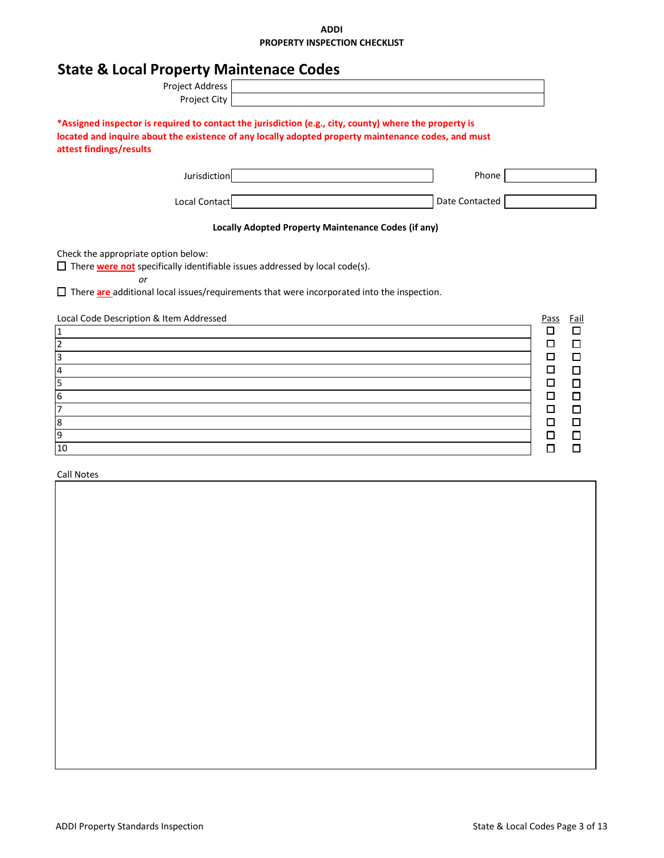|  | <b>State &amp; Local Property Maintenace Codes</b> |  |  |
|--|----------------------------------------------------|--|--|
|--|----------------------------------------------------|--|--|

| Project Address                                                                                                                                                                                                                                                                                |                                                                                                                                                                                                               |                  |
|------------------------------------------------------------------------------------------------------------------------------------------------------------------------------------------------------------------------------------------------------------------------------------------------|---------------------------------------------------------------------------------------------------------------------------------------------------------------------------------------------------------------|------------------|
| Project City                                                                                                                                                                                                                                                                                   |                                                                                                                                                                                                               |                  |
| attest findings/results                                                                                                                                                                                                                                                                        | *Assigned inspector is required to contact the jurisdiction (e.g., city, county) where the property is<br>located and inquire about the existence of any locally adopted property maintenance codes, and must |                  |
| Jurisdiction                                                                                                                                                                                                                                                                                   | Phone                                                                                                                                                                                                         |                  |
| Local Contact                                                                                                                                                                                                                                                                                  | Date Contacted                                                                                                                                                                                                |                  |
|                                                                                                                                                                                                                                                                                                | Locally Adopted Property Maintenance Codes (if any)                                                                                                                                                           |                  |
| Check the appropriate option below:<br>$\Box$ There <b>were not</b> specifically identifiable issues addressed by local code(s).<br>$\alpha$ r<br>$\Box$ There are additional local issues/requirements that were incorporated into the inspection.<br>Local Code Description & Item Addressed |                                                                                                                                                                                                               | Pass<br>Fail     |
| $\overline{1}$                                                                                                                                                                                                                                                                                 |                                                                                                                                                                                                               | □<br>□           |
|                                                                                                                                                                                                                                                                                                |                                                                                                                                                                                                               | □<br>□           |
| $\frac{2}{3}$ $\frac{3}{4}$ $\frac{4}{5}$ $\frac{6}{7}$                                                                                                                                                                                                                                        |                                                                                                                                                                                                               | □<br>□           |
|                                                                                                                                                                                                                                                                                                |                                                                                                                                                                                                               | □<br>$\Box$      |
|                                                                                                                                                                                                                                                                                                |                                                                                                                                                                                                               | $\Box$<br>$\Box$ |
|                                                                                                                                                                                                                                                                                                |                                                                                                                                                                                                               | $\Box$<br>□      |
|                                                                                                                                                                                                                                                                                                |                                                                                                                                                                                                               | $\Box$<br>□      |
| $\frac{8}{9}$                                                                                                                                                                                                                                                                                  |                                                                                                                                                                                                               | $\Box$<br>$\Box$ |
|                                                                                                                                                                                                                                                                                                |                                                                                                                                                                                                               | ◻<br>□           |
| 10                                                                                                                                                                                                                                                                                             |                                                                                                                                                                                                               | П<br>П           |

Call Notes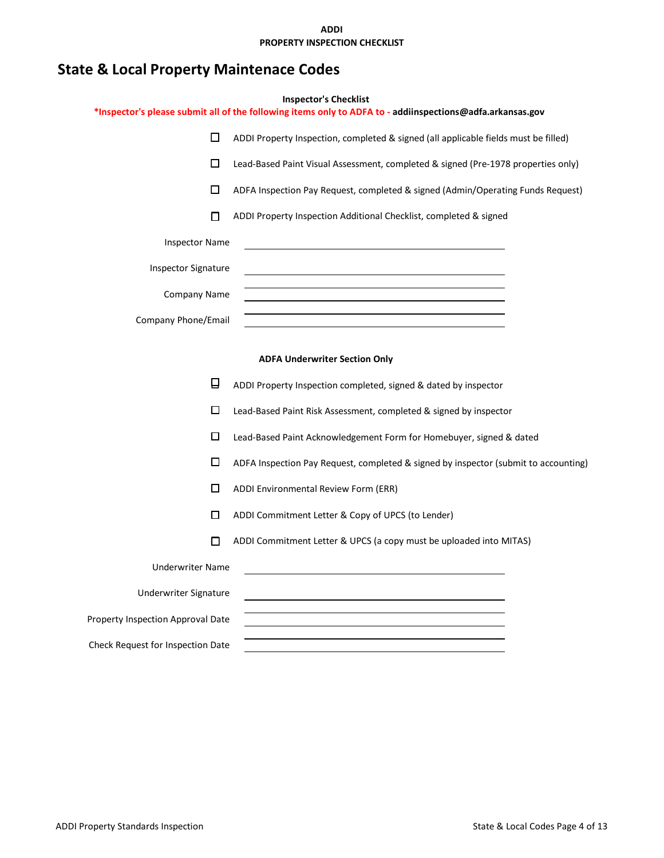# **State & Local Property Maintenace Codes**

|                                   | <b>Inspector's Checklist</b><br>*Inspector's please submit all of the following items only to ADFA to - addiinspections@adfa.arkansas.gov |  |  |  |
|-----------------------------------|-------------------------------------------------------------------------------------------------------------------------------------------|--|--|--|
| □                                 | ADDI Property Inspection, completed & signed (all applicable fields must be filled)                                                       |  |  |  |
| □                                 | Lead-Based Paint Visual Assessment, completed & signed (Pre-1978 properties only)                                                         |  |  |  |
| □                                 | ADFA Inspection Pay Request, completed & signed (Admin/Operating Funds Request)                                                           |  |  |  |
| п                                 | ADDI Property Inspection Additional Checklist, completed & signed                                                                         |  |  |  |
| <b>Inspector Name</b>             |                                                                                                                                           |  |  |  |
| <b>Inspector Signature</b>        |                                                                                                                                           |  |  |  |
| Company Name                      |                                                                                                                                           |  |  |  |
| Company Phone/Email               |                                                                                                                                           |  |  |  |
|                                   |                                                                                                                                           |  |  |  |
|                                   | <b>ADFA Underwriter Section Only</b>                                                                                                      |  |  |  |
| ❏                                 | ADDI Property Inspection completed, signed & dated by inspector                                                                           |  |  |  |
| □                                 | Lead-Based Paint Risk Assessment, completed & signed by inspector                                                                         |  |  |  |
| □                                 | Lead-Based Paint Acknowledgement Form for Homebuyer, signed & dated                                                                       |  |  |  |
| □                                 | ADFA Inspection Pay Request, completed & signed by inspector (submit to accounting)                                                       |  |  |  |
| □                                 | ADDI Environmental Review Form (ERR)                                                                                                      |  |  |  |
| п                                 | ADDI Commitment Letter & Copy of UPCS (to Lender)                                                                                         |  |  |  |
| п                                 | ADDI Commitment Letter & UPCS (a copy must be uploaded into MITAS)                                                                        |  |  |  |
| <b>Underwriter Name</b>           |                                                                                                                                           |  |  |  |
| Underwriter Signature             |                                                                                                                                           |  |  |  |
| Property Inspection Approval Date |                                                                                                                                           |  |  |  |

Check Request for Inspection Date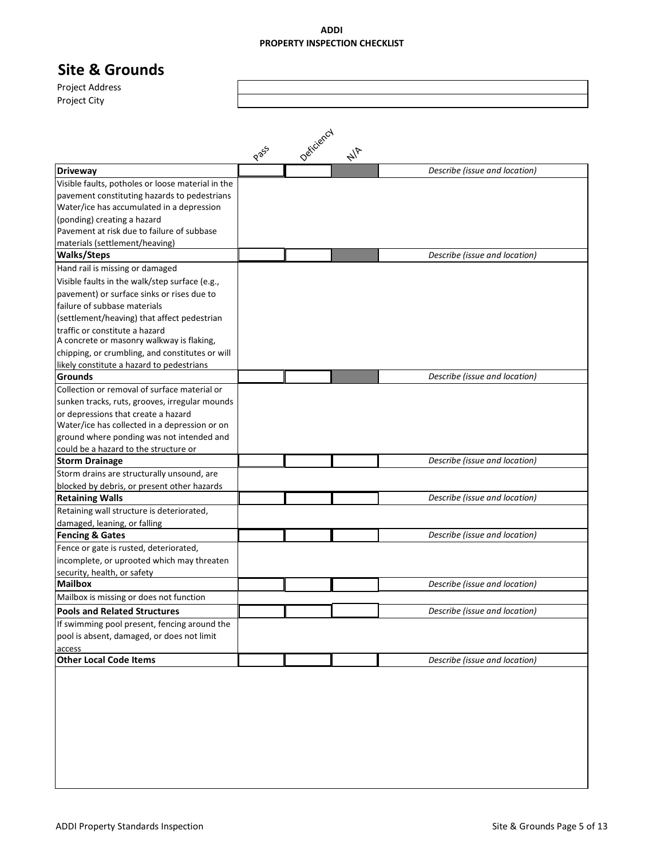## **Site & Grounds**

Project Address Project City

|                                                   |                      | Deficiency |               |                               |
|---------------------------------------------------|----------------------|------------|---------------|-------------------------------|
|                                                   | <b>P</b> $8^{8^{5}}$ |            | $\frac{1}{4}$ |                               |
| <b>Driveway</b>                                   |                      |            |               | Describe (issue and location) |
| Visible faults, potholes or loose material in the |                      |            |               |                               |
| pavement constituting hazards to pedestrians      |                      |            |               |                               |
| Water/ice has accumulated in a depression         |                      |            |               |                               |
| (ponding) creating a hazard                       |                      |            |               |                               |
| Pavement at risk due to failure of subbase        |                      |            |               |                               |
| materials (settlement/heaving)                    |                      |            |               |                               |
| <b>Walks/Steps</b>                                |                      |            |               | Describe (issue and location) |
| Hand rail is missing or damaged                   |                      |            |               |                               |
| Visible faults in the walk/step surface (e.g.,    |                      |            |               |                               |
| pavement) or surface sinks or rises due to        |                      |            |               |                               |
| failure of subbase materials                      |                      |            |               |                               |
| (settlement/heaving) that affect pedestrian       |                      |            |               |                               |
| traffic or constitute a hazard                    |                      |            |               |                               |
| A concrete or masonry walkway is flaking,         |                      |            |               |                               |
| chipping, or crumbling, and constitutes or will   |                      |            |               |                               |
| likely constitute a hazard to pedestrians         |                      |            |               |                               |
| <b>Grounds</b>                                    |                      |            |               | Describe (issue and location) |
| Collection or removal of surface material or      |                      |            |               |                               |
| sunken tracks, ruts, grooves, irregular mounds    |                      |            |               |                               |
| or depressions that create a hazard               |                      |            |               |                               |
| Water/ice has collected in a depression or on     |                      |            |               |                               |
| ground where ponding was not intended and         |                      |            |               |                               |
| could be a hazard to the structure or             |                      |            |               |                               |
| <b>Storm Drainage</b>                             |                      |            |               | Describe (issue and location) |
| Storm drains are structurally unsound, are        |                      |            |               |                               |
| blocked by debris, or present other hazards       |                      |            |               |                               |
| <b>Retaining Walls</b>                            |                      |            |               | Describe (issue and location) |
| Retaining wall structure is deteriorated,         |                      |            |               |                               |
| damaged, leaning, or falling                      |                      |            |               |                               |
| <b>Fencing &amp; Gates</b>                        |                      |            |               | Describe (issue and location) |
| Fence or gate is rusted, deteriorated,            |                      |            |               |                               |
| incomplete, or uprooted which may threaten        |                      |            |               |                               |
| security, health, or safety                       |                      |            |               |                               |
| <b>Mailbox</b>                                    |                      |            |               | Describe (issue and location) |
| Mailbox is missing or does not function           |                      |            |               |                               |
| <b>Pools and Related Structures</b>               |                      |            |               | Describe (issue and location) |
| If swimming pool present, fencing around the      |                      |            |               |                               |
| pool is absent, damaged, or does not limit        |                      |            |               |                               |
| access                                            |                      |            |               |                               |
| <b>Other Local Code Items</b>                     |                      |            |               | Describe (issue and location) |
|                                                   |                      |            |               |                               |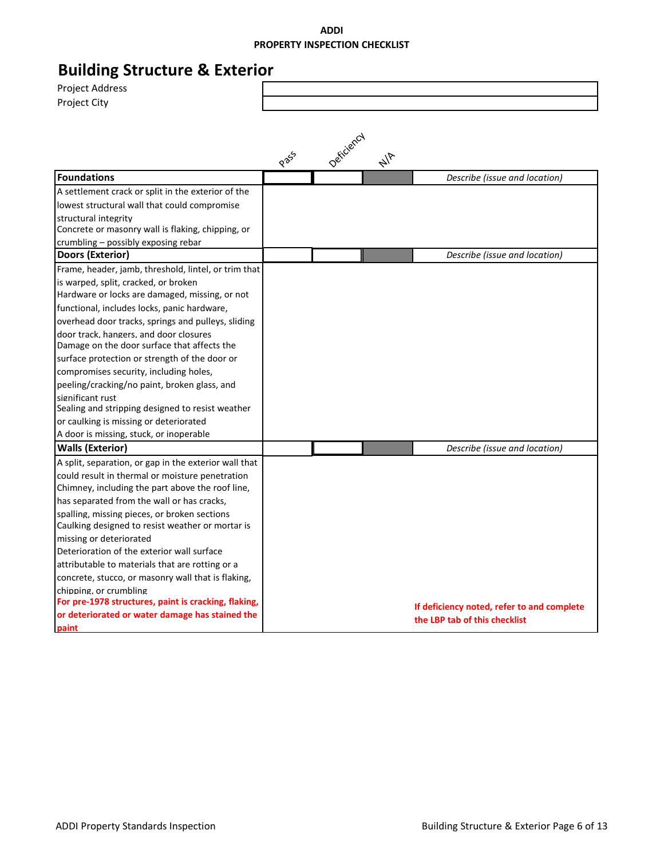#### **Building Structure & Exterior** Project Address Project City Pass Deficiency  $\frac{1}{4}$ **Foundations** *Describe (issue and location)* A settlement crack or split in the exterior of the lowest structural wall that could compromise structural integrity Concrete or masonry wall is flaking, chipping, or crumbling – possibly exposing rebar **Doors (Exterior)** *Describe (issue and location)* Frame, header, jamb, threshold, lintel, or trim that is warped, split, cracked, or broken Hardware or locks are damaged, missing, or not functional, includes locks, panic hardware, overhead door tracks, springs and pulleys, sliding door track, hangers, and door closures Damage on the door surface that affects the surface protection or strength of the door or compromises security, including holes, peeling/cracking/no paint, broken glass, and significant rust Sealing and stripping designed to resist weather or caulking is missing or deteriorated A door is missing, stuck, or inoperable **Walls (Exterior)** *Describe (issue and location)* A split, separation, or gap in the exterior wall that could result in thermal or moisture penetration Chimney, including the part above the roof line, has separated from the wall or has cracks, spalling, missing pieces, or broken sections Caulking designed to resist weather or mortar is missing or deteriorated Deterioration of the exterior wall surface attributable to materials that are rotting or a concrete, stucco, or masonry wall that is flaking, chipping, or crumbling **For pre-1978 structures, paint is cracking, flaking, or deteriorated or water damage has stained the paint If deficiency noted, refer to and complete the LBP tab of this checklist**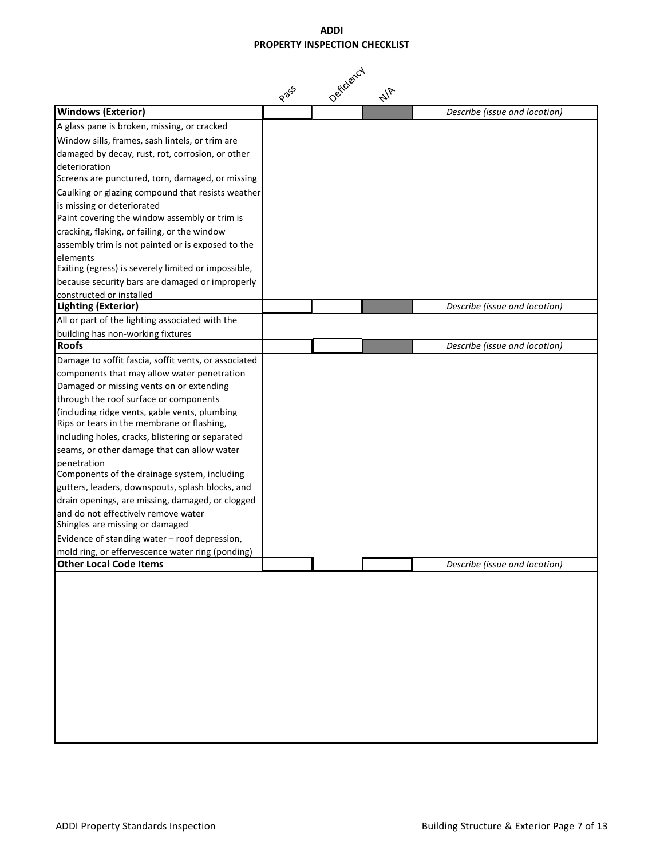|                                                                                      | P 265 | Deficiency | $\frac{1}{4}$ |                               |
|--------------------------------------------------------------------------------------|-------|------------|---------------|-------------------------------|
| <b>Windows (Exterior)</b>                                                            |       |            |               | Describe (issue and location) |
| A glass pane is broken, missing, or cracked                                          |       |            |               |                               |
| Window sills, frames, sash lintels, or trim are                                      |       |            |               |                               |
| damaged by decay, rust, rot, corrosion, or other                                     |       |            |               |                               |
| deterioration                                                                        |       |            |               |                               |
| Screens are punctured, torn, damaged, or missing                                     |       |            |               |                               |
| Caulking or glazing compound that resists weather                                    |       |            |               |                               |
| is missing or deteriorated                                                           |       |            |               |                               |
| Paint covering the window assembly or trim is                                        |       |            |               |                               |
| cracking, flaking, or failing, or the window                                         |       |            |               |                               |
| assembly trim is not painted or is exposed to the                                    |       |            |               |                               |
| elements                                                                             |       |            |               |                               |
| Exiting (egress) is severely limited or impossible,                                  |       |            |               |                               |
| because security bars are damaged or improperly                                      |       |            |               |                               |
| constructed or installed<br><b>Lighting (Exterior)</b>                               |       |            |               |                               |
|                                                                                      |       |            |               | Describe (issue and location) |
| All or part of the lighting associated with the<br>building has non-working fixtures |       |            |               |                               |
| <b>Roofs</b>                                                                         |       |            |               | Describe (issue and location) |
| Damage to soffit fascia, soffit vents, or associated                                 |       |            |               |                               |
| components that may allow water penetration                                          |       |            |               |                               |
| Damaged or missing vents on or extending                                             |       |            |               |                               |
| through the roof surface or components                                               |       |            |               |                               |
| (including ridge vents, gable vents, plumbing                                        |       |            |               |                               |
| Rips or tears in the membrane or flashing,                                           |       |            |               |                               |
| including holes, cracks, blistering or separated                                     |       |            |               |                               |
| seams, or other damage that can allow water                                          |       |            |               |                               |
| penetration                                                                          |       |            |               |                               |
| Components of the drainage system, including                                         |       |            |               |                               |
| gutters, leaders, downspouts, splash blocks, and                                     |       |            |               |                               |
| drain openings, are missing, damaged, or clogged                                     |       |            |               |                               |
| and do not effectively remove water                                                  |       |            |               |                               |
| Shingles are missing or damaged                                                      |       |            |               |                               |
| Evidence of standing water - roof depression,                                        |       |            |               |                               |
| mold ring, or effervescence water ring (ponding)<br><b>Other Local Code Items</b>    |       |            |               | Describe (issue and location) |
|                                                                                      |       |            |               |                               |
|                                                                                      |       |            |               |                               |
|                                                                                      |       |            |               |                               |
|                                                                                      |       |            |               |                               |
|                                                                                      |       |            |               |                               |
|                                                                                      |       |            |               |                               |
|                                                                                      |       |            |               |                               |
|                                                                                      |       |            |               |                               |
|                                                                                      |       |            |               |                               |
|                                                                                      |       |            |               |                               |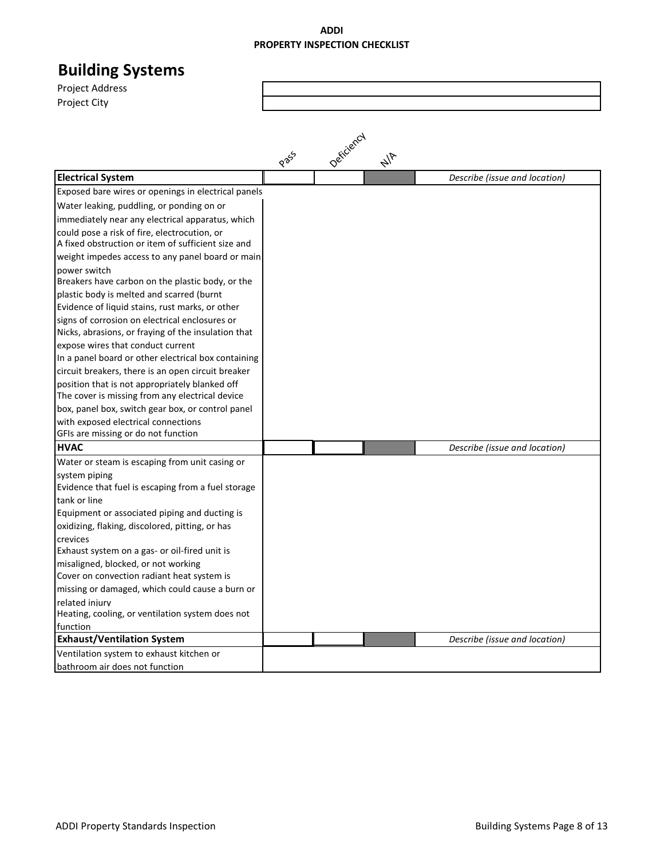| <b>Building Systems</b>                                                                      |      |            |               |                               |
|----------------------------------------------------------------------------------------------|------|------------|---------------|-------------------------------|
| <b>Project Address</b>                                                                       |      |            |               |                               |
| Project City                                                                                 |      |            |               |                               |
|                                                                                              |      |            |               |                               |
|                                                                                              |      |            |               |                               |
|                                                                                              |      |            |               |                               |
|                                                                                              | Pass | Deficiency | $\frac{1}{4}$ |                               |
| <b>Electrical System</b>                                                                     |      |            |               | Describe (issue and location) |
| Exposed bare wires or openings in electrical panels                                          |      |            |               |                               |
| Water leaking, puddling, or ponding on or                                                    |      |            |               |                               |
| immediately near any electrical apparatus, which                                             |      |            |               |                               |
| could pose a risk of fire, electrocution, or                                                 |      |            |               |                               |
| A fixed obstruction or item of sufficient size and                                           |      |            |               |                               |
| weight impedes access to any panel board or main                                             |      |            |               |                               |
| power switch                                                                                 |      |            |               |                               |
| Breakers have carbon on the plastic body, or the                                             |      |            |               |                               |
| plastic body is melted and scarred (burnt<br>Evidence of liquid stains, rust marks, or other |      |            |               |                               |
| signs of corrosion on electrical enclosures or                                               |      |            |               |                               |
| Nicks, abrasions, or fraying of the insulation that                                          |      |            |               |                               |
| expose wires that conduct current                                                            |      |            |               |                               |
| In a panel board or other electrical box containing                                          |      |            |               |                               |
| circuit breakers, there is an open circuit breaker                                           |      |            |               |                               |
| position that is not appropriately blanked off                                               |      |            |               |                               |
| The cover is missing from any electrical device                                              |      |            |               |                               |
| box, panel box, switch gear box, or control panel                                            |      |            |               |                               |
| with exposed electrical connections                                                          |      |            |               |                               |
| GFIs are missing or do not function                                                          |      |            |               |                               |
| <b>HVAC</b>                                                                                  |      |            |               | Describe (issue and location) |
| Water or steam is escaping from unit casing or                                               |      |            |               |                               |
| system piping<br>Evidence that fuel is escaping from a fuel storage                          |      |            |               |                               |
| tank or line                                                                                 |      |            |               |                               |
| Equipment or associated piping and ducting is                                                |      |            |               |                               |
| oxidizing, flaking, discolored, pitting, or has                                              |      |            |               |                               |
| crevices                                                                                     |      |            |               |                               |
| Exhaust system on a gas- or oil-fired unit is                                                |      |            |               |                               |
| misaligned, blocked, or not working                                                          |      |            |               |                               |
| Cover on convection radiant heat system is                                                   |      |            |               |                               |
| missing or damaged, which could cause a burn or                                              |      |            |               |                               |
| related injury                                                                               |      |            |               |                               |
| Heating, cooling, or ventilation system does not<br>function                                 |      |            |               |                               |
| <b>Exhaust/Ventilation System</b>                                                            |      |            |               | Describe (issue and location) |
| Ventilation system to exhaust kitchen or                                                     |      |            |               |                               |
| bathroom air does not function                                                               |      |            |               |                               |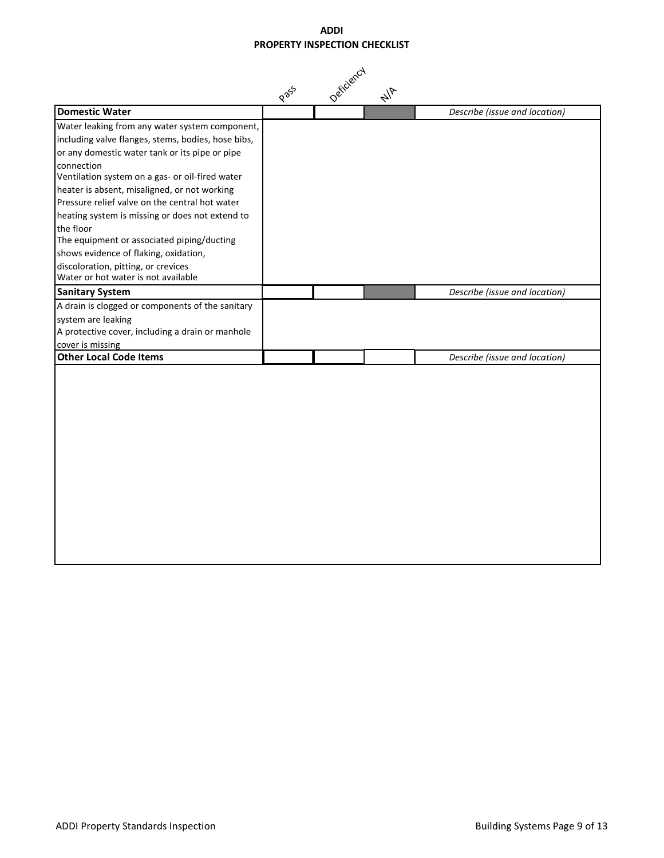|                                                                                                                                                        | Pass | Deficiency | $\frac{1}{4}$ |                               |
|--------------------------------------------------------------------------------------------------------------------------------------------------------|------|------------|---------------|-------------------------------|
| <b>Domestic Water</b>                                                                                                                                  |      |            |               | Describe (issue and location) |
| Water leaking from any water system component,<br>including valve flanges, stems, bodies, hose bibs,<br>or any domestic water tank or its pipe or pipe |      |            |               |                               |
| connection<br>Ventilation system on a gas- or oil-fired water                                                                                          |      |            |               |                               |
| heater is absent, misaligned, or not working<br>Pressure relief valve on the central hot water                                                         |      |            |               |                               |
| heating system is missing or does not extend to                                                                                                        |      |            |               |                               |
| the floor<br>The equipment or associated piping/ducting                                                                                                |      |            |               |                               |
| shows evidence of flaking, oxidation,                                                                                                                  |      |            |               |                               |
| discoloration, pitting, or crevices<br>Water or hot water is not available                                                                             |      |            |               |                               |
| <b>Sanitary System</b>                                                                                                                                 |      |            |               | Describe (issue and location) |
| A drain is clogged or components of the sanitary                                                                                                       |      |            |               |                               |
| system are leaking<br>A protective cover, including a drain or manhole                                                                                 |      |            |               |                               |
| cover is missing                                                                                                                                       |      |            |               |                               |
| <b>Other Local Code Items</b>                                                                                                                          |      |            |               | Describe (issue and location) |
|                                                                                                                                                        |      |            |               |                               |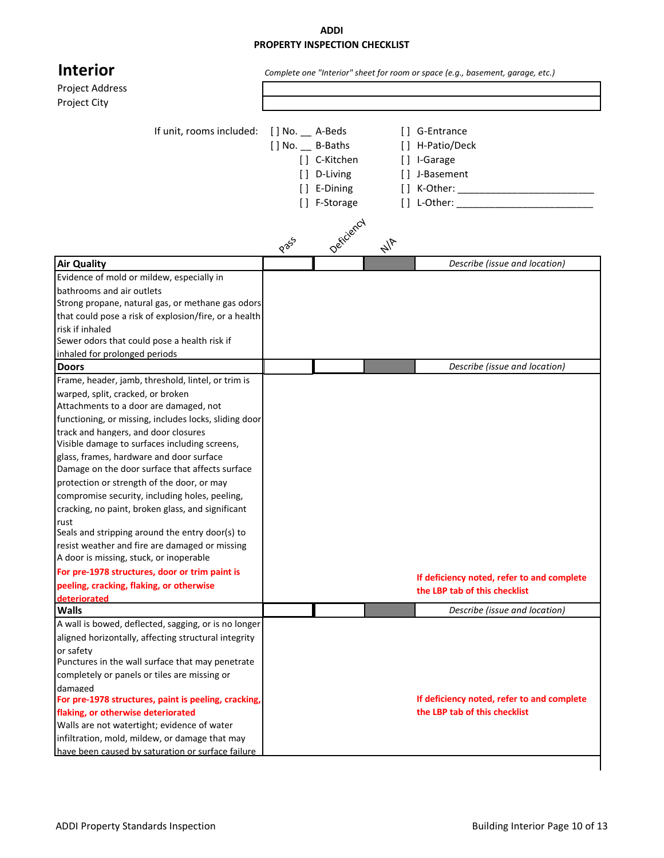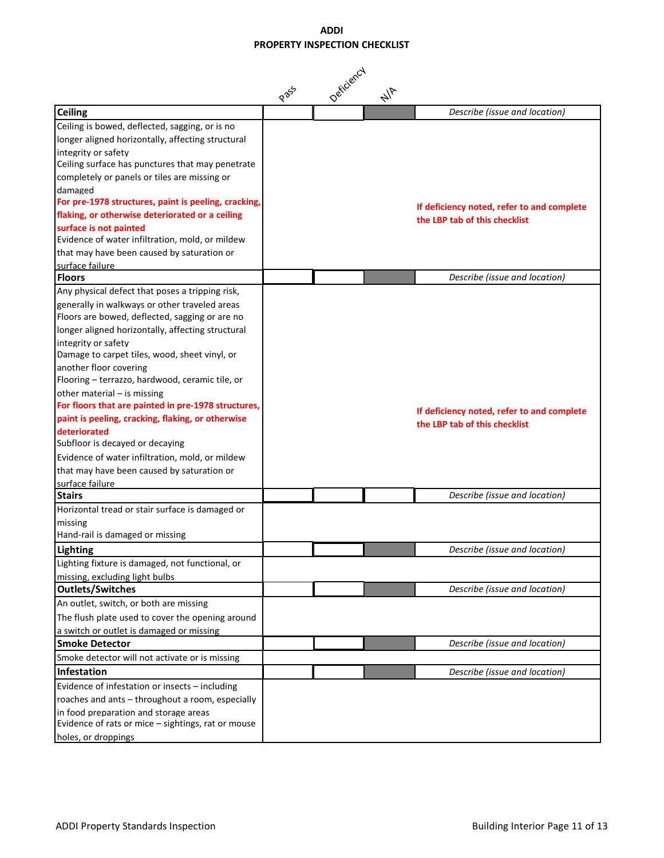|                                                               | Pass | Deficiency | $\frac{1}{4}$ |                                            |
|---------------------------------------------------------------|------|------------|---------------|--------------------------------------------|
| <b>Ceiling</b>                                                |      |            |               | Describe (issue and location)              |
| Ceiling is bowed, deflected, sagging, or is no                |      |            |               |                                            |
| longer aligned horizontally, affecting structural             |      |            |               |                                            |
| integrity or safety                                           |      |            |               |                                            |
| Ceiling surface has punctures that may penetrate              |      |            |               |                                            |
| completely or panels or tiles are missing or                  |      |            |               |                                            |
| damaged                                                       |      |            |               |                                            |
| For pre-1978 structures, paint is peeling, cracking,          |      |            |               | If deficiency noted, refer to and complete |
| flaking, or otherwise deteriorated or a ceiling               |      |            |               | the LBP tab of this checklist              |
| surface is not painted                                        |      |            |               |                                            |
| Evidence of water infiltration, mold, or mildew               |      |            |               |                                            |
| that may have been caused by saturation or<br>surface failure |      |            |               |                                            |
| <b>Floors</b>                                                 |      |            |               | Describe (issue and location)              |
| Any physical defect that poses a tripping risk,               |      |            |               |                                            |
| generally in walkways or other traveled areas                 |      |            |               |                                            |
| Floors are bowed, deflected, sagging or are no                |      |            |               |                                            |
| longer aligned horizontally, affecting structural             |      |            |               |                                            |
| integrity or safety                                           |      |            |               |                                            |
| Damage to carpet tiles, wood, sheet vinyl, or                 |      |            |               |                                            |
| another floor covering                                        |      |            |               |                                            |
| Flooring - terrazzo, hardwood, ceramic tile, or               |      |            |               |                                            |
| other material - is missing                                   |      |            |               |                                            |
| For floors that are painted in pre-1978 structures,           |      |            |               | If deficiency noted, refer to and complete |
| paint is peeling, cracking, flaking, or otherwise             |      |            |               | the LBP tab of this checklist              |
| deteriorated                                                  |      |            |               |                                            |
| Subfloor is decayed or decaying                               |      |            |               |                                            |
| Evidence of water infiltration, mold, or mildew               |      |            |               |                                            |
| that may have been caused by saturation or                    |      |            |               |                                            |
| surface failure                                               |      |            |               |                                            |
| <b>Stairs</b>                                                 |      |            |               | Describe (issue and location)              |
| Horizontal tread or stair surface is damaged or               |      |            |               |                                            |
| missing                                                       |      |            |               |                                            |
| Hand-rail is damaged or missing                               |      |            |               |                                            |
| <b>Lighting</b>                                               |      |            |               | Describe (issue and location)              |
| Lighting fixture is damaged, not functional, or               |      |            |               |                                            |
| missing, excluding light bulbs                                |      |            |               |                                            |
| <b>Outlets/Switches</b>                                       |      |            |               | Describe (issue and location)              |
| An outlet, switch, or both are missing                        |      |            |               |                                            |
| The flush plate used to cover the opening around              |      |            |               |                                            |
| a switch or outlet is damaged or missing                      |      |            |               |                                            |
| <b>Smoke Detector</b>                                         |      |            |               | Describe (issue and location)              |
| Smoke detector will not activate or is missing                |      |            |               |                                            |
| Infestation                                                   |      |            |               | Describe (issue and location)              |
| Evidence of infestation or insects - including                |      |            |               |                                            |
| roaches and ants - throughout a room, especially              |      |            |               |                                            |
| in food preparation and storage areas                         |      |            |               |                                            |
| Evidence of rats or mice - sightings, rat or mouse            |      |            |               |                                            |
| holes, or droppings                                           |      |            |               |                                            |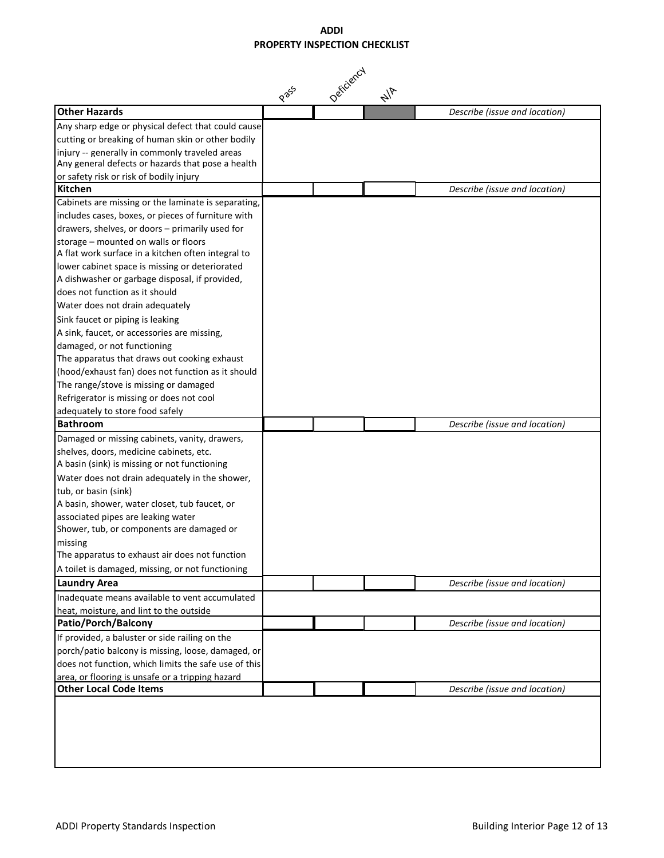|                                                                                            | P 255 | Deficiency | $\frac{1}{4}$ |                               |
|--------------------------------------------------------------------------------------------|-------|------------|---------------|-------------------------------|
| <b>Other Hazards</b>                                                                       |       |            |               | Describe (issue and location) |
| Any sharp edge or physical defect that could cause                                         |       |            |               |                               |
| cutting or breaking of human skin or other bodily                                          |       |            |               |                               |
| iniury -- generally in commonly traveled areas                                             |       |            |               |                               |
| Any general defects or hazards that pose a health                                          |       |            |               |                               |
| or safety risk or risk of bodily injury                                                    |       |            |               |                               |
| <b>Kitchen</b>                                                                             |       |            |               | Describe (issue and location) |
| Cabinets are missing or the laminate is separating,                                        |       |            |               |                               |
| includes cases, boxes, or pieces of furniture with                                         |       |            |               |                               |
| drawers, shelves, or doors - primarily used for                                            |       |            |               |                               |
| storage - mounted on walls or floors<br>A flat work surface in a kitchen often integral to |       |            |               |                               |
| lower cabinet space is missing or deteriorated                                             |       |            |               |                               |
| A dishwasher or garbage disposal, if provided,                                             |       |            |               |                               |
| does not function as it should                                                             |       |            |               |                               |
| Water does not drain adequately                                                            |       |            |               |                               |
| Sink faucet or piping is leaking                                                           |       |            |               |                               |
| A sink, faucet, or accessories are missing,                                                |       |            |               |                               |
| damaged, or not functioning                                                                |       |            |               |                               |
| The apparatus that draws out cooking exhaust                                               |       |            |               |                               |
| (hood/exhaust fan) does not function as it should                                          |       |            |               |                               |
| The range/stove is missing or damaged                                                      |       |            |               |                               |
| Refrigerator is missing or does not cool                                                   |       |            |               |                               |
| adequately to store food safely                                                            |       |            |               |                               |
| <b>Bathroom</b>                                                                            |       |            |               | Describe (issue and location) |
| Damaged or missing cabinets, vanity, drawers,                                              |       |            |               |                               |
| shelves, doors, medicine cabinets, etc.                                                    |       |            |               |                               |
| A basin (sink) is missing or not functioning                                               |       |            |               |                               |
| Water does not drain adequately in the shower,                                             |       |            |               |                               |
| tub, or basin (sink)                                                                       |       |            |               |                               |
| A basin, shower, water closet, tub faucet, or                                              |       |            |               |                               |
| associated pipes are leaking water                                                         |       |            |               |                               |
| Shower, tub, or components are damaged or                                                  |       |            |               |                               |
| missing<br>The apparatus to exhaust air does not function                                  |       |            |               |                               |
|                                                                                            |       |            |               |                               |
| A toilet is damaged, missing, or not functioning                                           |       |            |               |                               |
| <b>Laundry Area</b>                                                                        |       |            |               | Describe (issue and location) |
| Inadequate means available to vent accumulated                                             |       |            |               |                               |
| heat, moisture, and lint to the outside<br>Patio/Porch/Balcony                             |       |            |               | Describe (issue and location) |
| If provided, a baluster or side railing on the                                             |       |            |               |                               |
| porch/patio balcony is missing, loose, damaged, or                                         |       |            |               |                               |
| does not function, which limits the safe use of this                                       |       |            |               |                               |
| area, or flooring is unsafe or a tripping hazard                                           |       |            |               |                               |
| <b>Other Local Code Items</b>                                                              |       |            |               | Describe (issue and location) |
|                                                                                            |       |            |               |                               |
|                                                                                            |       |            |               |                               |